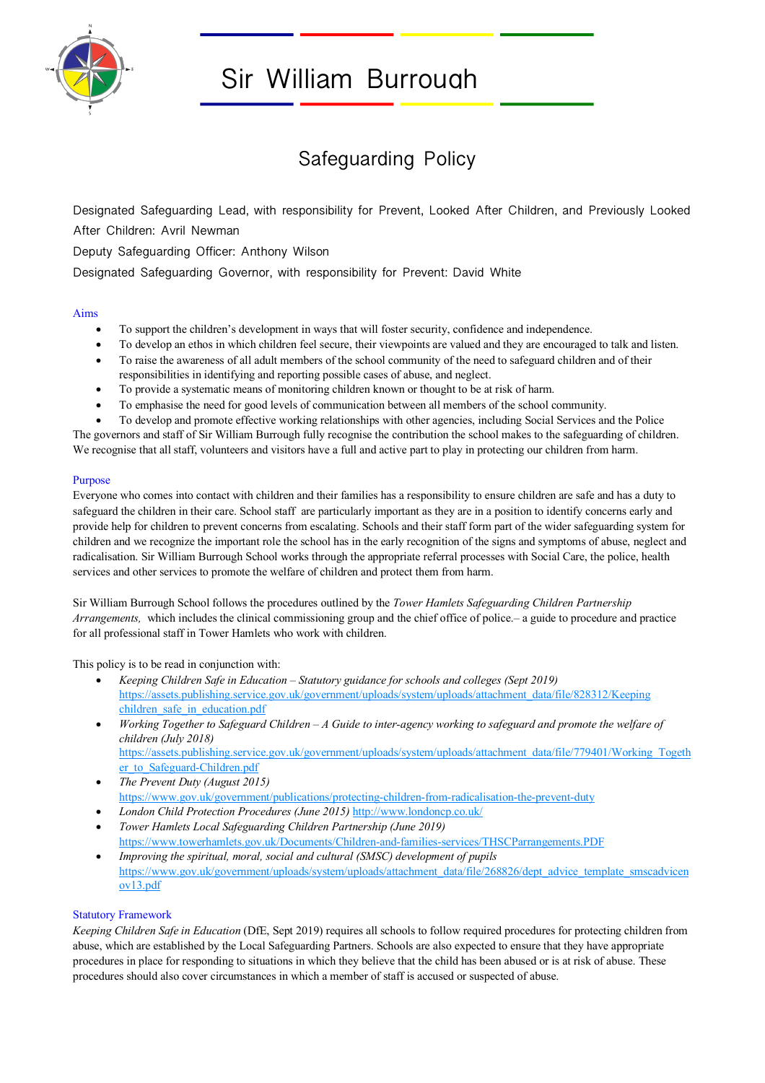

# Sir William Burrough

# Safeguarding Policy

Designated Safeguarding Lead, with responsibility for Prevent, Looked After Children, and Previously Looked After Children: Avril Newman

Deputy Safeguarding Officer: Anthony Wilson

Designated Safeguarding Governor, with responsibility for Prevent: David White

#### Aims

- To support the children's development in ways that will foster security, confidence and independence.
- To develop an ethos in which children feel secure, their viewpoints are valued and they are encouraged to talk and listen.
- To raise the awareness of all adult members of the school community of the need to safeguard children and of their responsibilities in identifying and reporting possible cases of abuse, and neglect.
- To provide a systematic means of monitoring children known or thought to be at risk of harm.
- To emphasise the need for good levels of communication between all members of the school community.
- To develop and promote effective working relationships with other agencies, including Social Services and the Police

The governors and staff of Sir William Burrough fully recognise the contribution the school makes to the safeguarding of children. We recognise that all staff, volunteers and visitors have a full and active part to play in protecting our children from harm.

#### **Purpose**

Everyone who comes into contact with children and their families has a responsibility to ensure children are safe and has a duty to safeguard the children in their care. School staff are particularly important as they are in a position to identify concerns early and provide help for children to prevent concerns from escalating. Schools and their staff form part of the wider safeguarding system for children and we recognize the important role the school has in the early recognition of the signs and symptoms of abuse, neglect and radicalisation. Sir William Burrough School works through the appropriate referral processes with Social Care, the police, health services and other services to promote the welfare of children and protect them from harm.

Sir William Burrough School follows the procedures outlined by the *Tower Hamlets Safeguarding Children Partnership Arrangements,* which includes the clinical commissioning group and the chief office of police.– a guide to procedure and practice for all professional staff in Tower Hamlets who work with children.

This policy is to be read in conjunction with:

- *Keeping Children Safe in Education – Statutory guidance for schools and colleges (Sept 2019)* https://assets.publishing.service.gov.uk/government/uploads/system/uploads/attachment\_data/file/828312/Keeping children safe in education.pdf
- *Working Together to Safeguard Children – A Guide to inter-agency working to safeguard and promote the welfare of children (July 2018)* https://assets.publishing.service.gov.uk/government/uploads/system/uploads/attachment\_data/file/779401/Working\_Togeth
- er\_to\_Safeguard-Children.pdf • *The Prevent Duty (August 2015)* https://www.gov.uk/government/publications/protecting-children-from-radicalisation-the-prevent-duty
- *London Child Protection Procedures (June 2015)* http://www.londoncp.co.uk/
- *Tower Hamlets Local Safeguarding Children Partnership (June 2019)* https://www.towerhamlets.gov.uk/Documents/Children-and-families-services/THSCParrangements.PDF
- *Improving the spiritual, moral, social and cultural (SMSC) development of pupils* https://www.gov.uk/government/uploads/system/uploads/attachment\_data/file/268826/dept\_advice\_template\_smscadvicen ov13.pdf

# Statutory Framework

*Keeping Children Safe in Education* (DfE, Sept 2019) requires all schools to follow required procedures for protecting children from abuse, which are established by the Local Safeguarding Partners. Schools are also expected to ensure that they have appropriate procedures in place for responding to situations in which they believe that the child has been abused or is at risk of abuse. These procedures should also cover circumstances in which a member of staff is accused or suspected of abuse.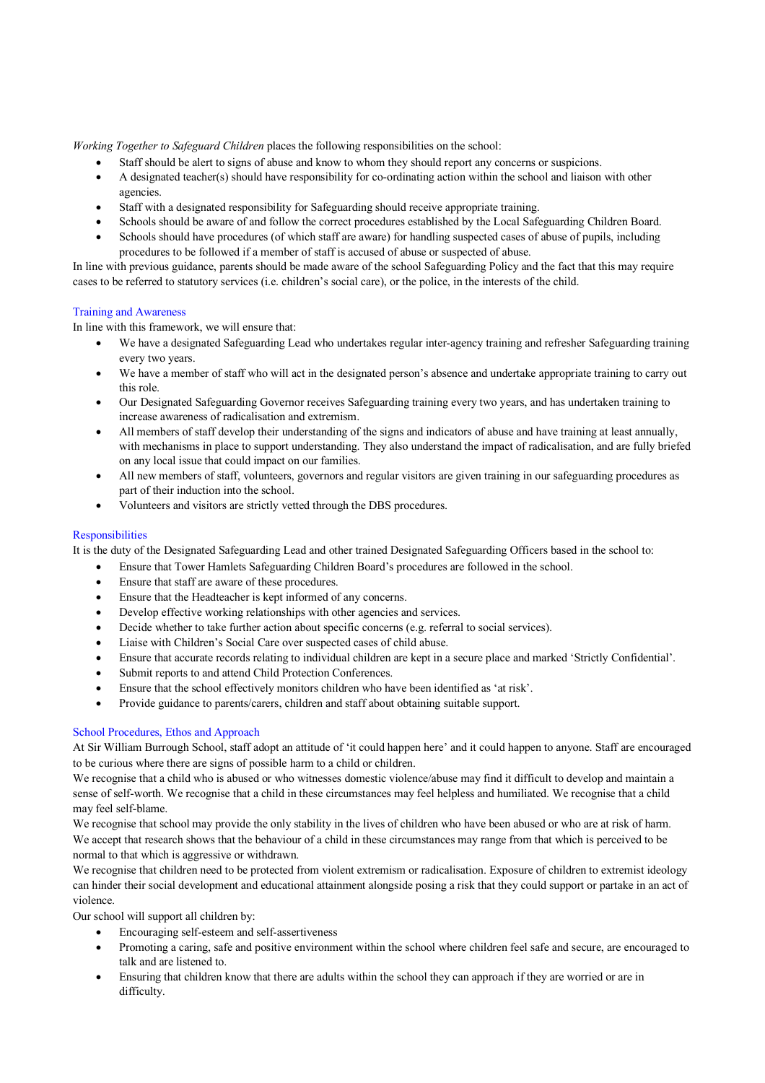*Working Together to Safeguard Children* places the following responsibilities on the school:

- Staff should be alert to signs of abuse and know to whom they should report any concerns or suspicions.
- A designated teacher(s) should have responsibility for co-ordinating action within the school and liaison with other agencies.
- Staff with a designated responsibility for Safeguarding should receive appropriate training.
- Schools should be aware of and follow the correct procedures established by the Local Safeguarding Children Board.
- Schools should have procedures (of which staff are aware) for handling suspected cases of abuse of pupils, including procedures to be followed if a member of staff is accused of abuse or suspected of abuse.

In line with previous guidance, parents should be made aware of the school Safeguarding Policy and the fact that this may require cases to be referred to statutory services (i.e. children's social care), or the police, in the interests of the child.

#### Training and Awareness

In line with this framework, we will ensure that:

- We have a designated Safeguarding Lead who undertakes regular inter-agency training and refresher Safeguarding training every two years.
- We have a member of staff who will act in the designated person's absence and undertake appropriate training to carry out this role.
- Our Designated Safeguarding Governor receives Safeguarding training every two years, and has undertaken training to increase awareness of radicalisation and extremism.
- All members of staff develop their understanding of the signs and indicators of abuse and have training at least annually, with mechanisms in place to support understanding. They also understand the impact of radicalisation, and are fully briefed on any local issue that could impact on our families.
- All new members of staff, volunteers, governors and regular visitors are given training in our safeguarding procedures as part of their induction into the school.
- Volunteers and visitors are strictly vetted through the DBS procedures.

# **Responsibilities**

It is the duty of the Designated Safeguarding Lead and other trained Designated Safeguarding Officers based in the school to:

- Ensure that Tower Hamlets Safeguarding Children Board's procedures are followed in the school.
- Ensure that staff are aware of these procedures.
- Ensure that the Headteacher is kept informed of any concerns.
- Develop effective working relationships with other agencies and services.
- Decide whether to take further action about specific concerns (e.g. referral to social services).
- Liaise with Children's Social Care over suspected cases of child abuse.
- Ensure that accurate records relating to individual children are kept in a secure place and marked 'Strictly Confidential'.
- Submit reports to and attend Child Protection Conferences.
- Ensure that the school effectively monitors children who have been identified as 'at risk'.
- Provide guidance to parents/carers, children and staff about obtaining suitable support.

# School Procedures, Ethos and Approach

At Sir William Burrough School, staff adopt an attitude of 'it could happen here' and it could happen to anyone. Staff are encouraged to be curious where there are signs of possible harm to a child or children.

We recognise that a child who is abused or who witnesses domestic violence/abuse may find it difficult to develop and maintain a sense of self-worth. We recognise that a child in these circumstances may feel helpless and humiliated. We recognise that a child may feel self-blame.

We recognise that school may provide the only stability in the lives of children who have been abused or who are at risk of harm. We accept that research shows that the behaviour of a child in these circumstances may range from that which is perceived to be normal to that which is aggressive or withdrawn.

We recognise that children need to be protected from violent extremism or radicalisation. Exposure of children to extremist ideology can hinder their social development and educational attainment alongside posing a risk that they could support or partake in an act of violence.

Our school will support all children by:

- Encouraging self-esteem and self-assertiveness
- Promoting a caring, safe and positive environment within the school where children feel safe and secure, are encouraged to talk and are listened to.
- Ensuring that children know that there are adults within the school they can approach if they are worried or are in difficulty.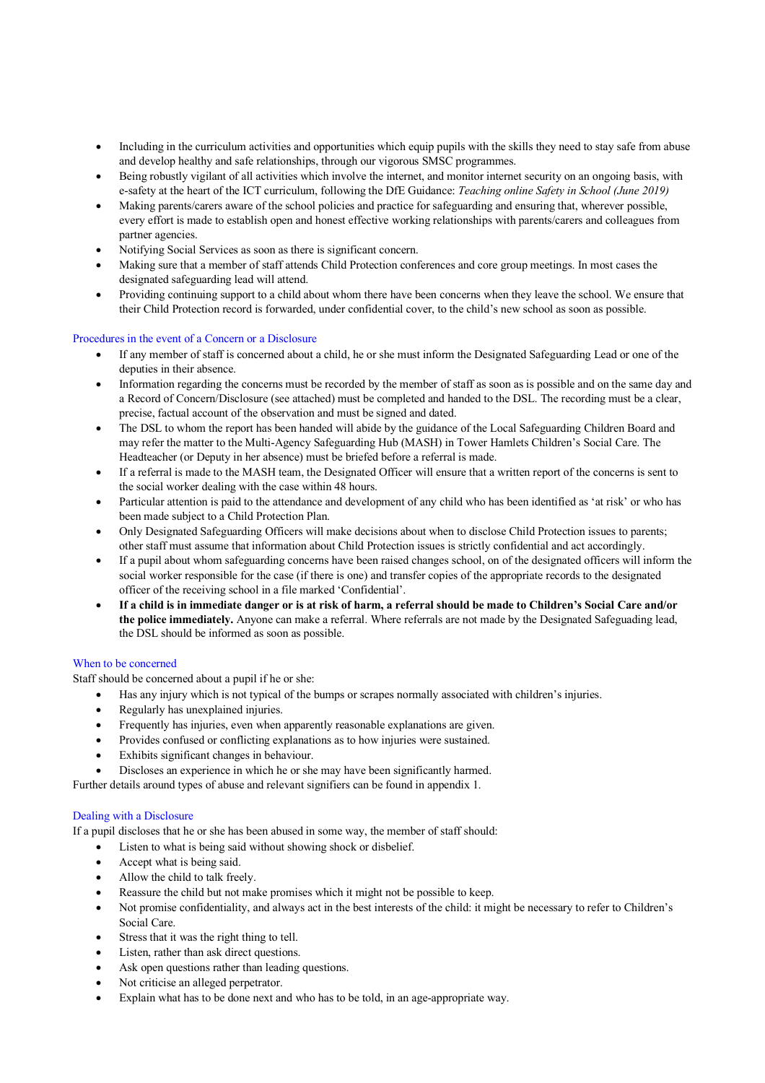- Including in the curriculum activities and opportunities which equip pupils with the skills they need to stay safe from abuse and develop healthy and safe relationships, through our vigorous SMSC programmes.
- Being robustly vigilant of all activities which involve the internet, and monitor internet security on an ongoing basis, with e-safety at the heart of the ICT curriculum, following the DfE Guidance: *Teaching online Safety in School (June 2019)*
- Making parents/carers aware of the school policies and practice for safeguarding and ensuring that, wherever possible, every effort is made to establish open and honest effective working relationships with parents/carers and colleagues from partner agencies.
- Notifying Social Services as soon as there is significant concern.
- Making sure that a member of staff attends Child Protection conferences and core group meetings. In most cases the designated safeguarding lead will attend.
- Providing continuing support to a child about whom there have been concerns when they leave the school. We ensure that their Child Protection record is forwarded, under confidential cover, to the child's new school as soon as possible.

#### Procedures in the event of a Concern or a Disclosure

- If any member of staff is concerned about a child, he or she must inform the Designated Safeguarding Lead or one of the deputies in their absence.
- Information regarding the concerns must be recorded by the member of staff as soon as is possible and on the same day and a Record of Concern/Disclosure (see attached) must be completed and handed to the DSL. The recording must be a clear, precise, factual account of the observation and must be signed and dated.
- The DSL to whom the report has been handed will abide by the guidance of the Local Safeguarding Children Board and may refer the matter to the Multi-Agency Safeguarding Hub (MASH) in Tower Hamlets Children's Social Care. The Headteacher (or Deputy in her absence) must be briefed before a referral is made.
- If a referral is made to the MASH team, the Designated Officer will ensure that a written report of the concerns is sent to the social worker dealing with the case within 48 hours.
- Particular attention is paid to the attendance and development of any child who has been identified as 'at risk' or who has been made subject to a Child Protection Plan.
- Only Designated Safeguarding Officers will make decisions about when to disclose Child Protection issues to parents; other staff must assume that information about Child Protection issues is strictly confidential and act accordingly.
- If a pupil about whom safeguarding concerns have been raised changes school, on of the designated officers will inform the social worker responsible for the case (if there is one) and transfer copies of the appropriate records to the designated officer of the receiving school in a file marked 'Confidential'.
- **If a child is in immediate danger or is at risk of harm, a referral should be made to Children's Social Care and/or the police immediately.** Anyone can make a referral. Where referrals are not made by the Designated Safeguading lead, the DSL should be informed as soon as possible.

#### When to be concerned

Staff should be concerned about a pupil if he or she:

- Has any injury which is not typical of the bumps or scrapes normally associated with children's injuries.
- Regularly has unexplained injuries.
- Frequently has injuries, even when apparently reasonable explanations are given.
- Provides confused or conflicting explanations as to how injuries were sustained.
- Exhibits significant changes in behaviour.
- Discloses an experience in which he or she may have been significantly harmed.

Further details around types of abuse and relevant signifiers can be found in appendix 1.

#### Dealing with a Disclosure

If a pupil discloses that he or she has been abused in some way, the member of staff should:

- Listen to what is being said without showing shock or disbelief.
	- Accept what is being said.
	- Allow the child to talk freely.
	- Reassure the child but not make promises which it might not be possible to keep.
	- Not promise confidentiality, and always act in the best interests of the child: it might be necessary to refer to Children's Social Care.
	- Stress that it was the right thing to tell.
	- Listen, rather than ask direct questions.
	- Ask open questions rather than leading questions.
	- Not criticise an alleged perpetrator.
	- Explain what has to be done next and who has to be told, in an age-appropriate way.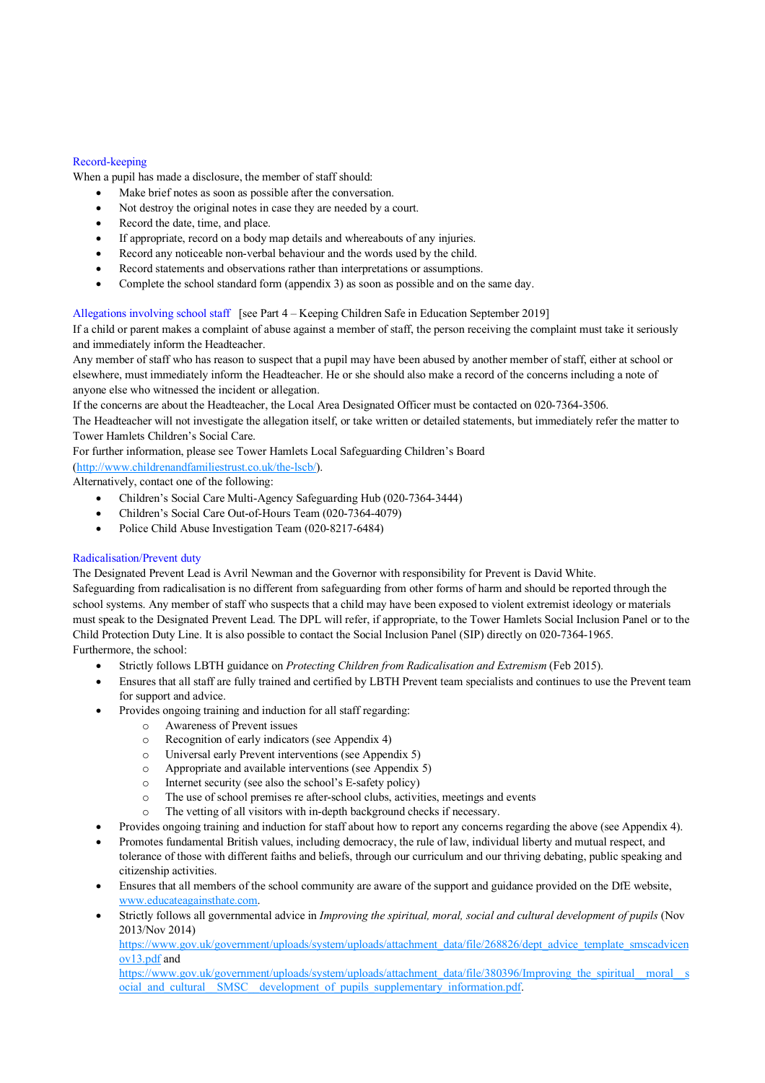#### Record-keeping

When a pupil has made a disclosure, the member of staff should:

- Make brief notes as soon as possible after the conversation.
- Not destroy the original notes in case they are needed by a court.
- Record the date, time, and place.
- If appropriate, record on a body map details and whereabouts of any injuries.
- Record any noticeable non-verbal behaviour and the words used by the child.
- Record statements and observations rather than interpretations or assumptions.
- Complete the school standard form (appendix 3) as soon as possible and on the same day.

Allegations involving school staff [see Part 4 – Keeping Children Safe in Education September 2019]

If a child or parent makes a complaint of abuse against a member of staff, the person receiving the complaint must take it seriously and immediately inform the Headteacher.

Any member of staff who has reason to suspect that a pupil may have been abused by another member of staff, either at school or elsewhere, must immediately inform the Headteacher. He or she should also make a record of the concerns including a note of anyone else who witnessed the incident or allegation.

If the concerns are about the Headteacher, the Local Area Designated Officer must be contacted on 020-7364-3506.

The Headteacher will not investigate the allegation itself, or take written or detailed statements, but immediately refer the matter to Tower Hamlets Children's Social Care.

For further information, please see Tower Hamlets Local Safeguarding Children's Board

(http://www.childrenandfamiliestrust.co.uk/the-lscb/).

Alternatively, contact one of the following:

- Children's Social Care Multi-Agency Safeguarding Hub (020-7364-3444)
- Children's Social Care Out-of-Hours Team (020-7364-4079)
- Police Child Abuse Investigation Team (020-8217-6484)

# Radicalisation/Prevent duty

The Designated Prevent Lead is Avril Newman and the Governor with responsibility for Prevent is David White. Safeguarding from radicalisation is no different from safeguarding from other forms of harm and should be reported through the school systems. Any member of staff who suspects that a child may have been exposed to violent extremist ideology or materials must speak to the Designated Prevent Lead. The DPL will refer, if appropriate, to the Tower Hamlets Social Inclusion Panel or to the Child Protection Duty Line. It is also possible to contact the Social Inclusion Panel (SIP) directly on 020-7364-1965. Furthermore, the school:

- Strictly follows LBTH guidance on *Protecting Children from Radicalisation and Extremism* (Feb 2015).
- Ensures that all staff are fully trained and certified by LBTH Prevent team specialists and continues to use the Prevent team for support and advice.
- Provides ongoing training and induction for all staff regarding:
	- o Awareness of Prevent issues
	- o Recognition of early indicators (see Appendix 4)
	- o Universal early Prevent interventions (see Appendix 5)
	- o Appropriate and available interventions (see Appendix 5)
	- o Internet security (see also the school's E-safety policy)
	- o The use of school premises re after-school clubs, activities, meetings and events
	- o The vetting of all visitors with in-depth background checks if necessary.
	- Provides ongoing training and induction for staff about how to report any concerns regarding the above (see Appendix 4).
- Promotes fundamental British values, including democracy, the rule of law, individual liberty and mutual respect, and tolerance of those with different faiths and beliefs, through our curriculum and our thriving debating, public speaking and citizenship activities.
- Ensures that all members of the school community are aware of the support and guidance provided on the DfE website, www.educateagainsthate.com.
- Strictly follows all governmental advice in *Improving the spiritual, moral, social and cultural development of pupils* (Nov 2013/Nov 2014)

https://www.gov.uk/government/uploads/system/uploads/attachment\_data/file/268826/dept\_advice\_template\_smscadvicen ov13.pdf and

https://www.gov.uk/government/uploads/system/uploads/attachment\_data/file/380396/Improving\_the\_spiritual\_\_moral\_\_s ocial\_and\_cultural\_SMSC\_development\_of\_pupils\_supplementary\_information.pdf.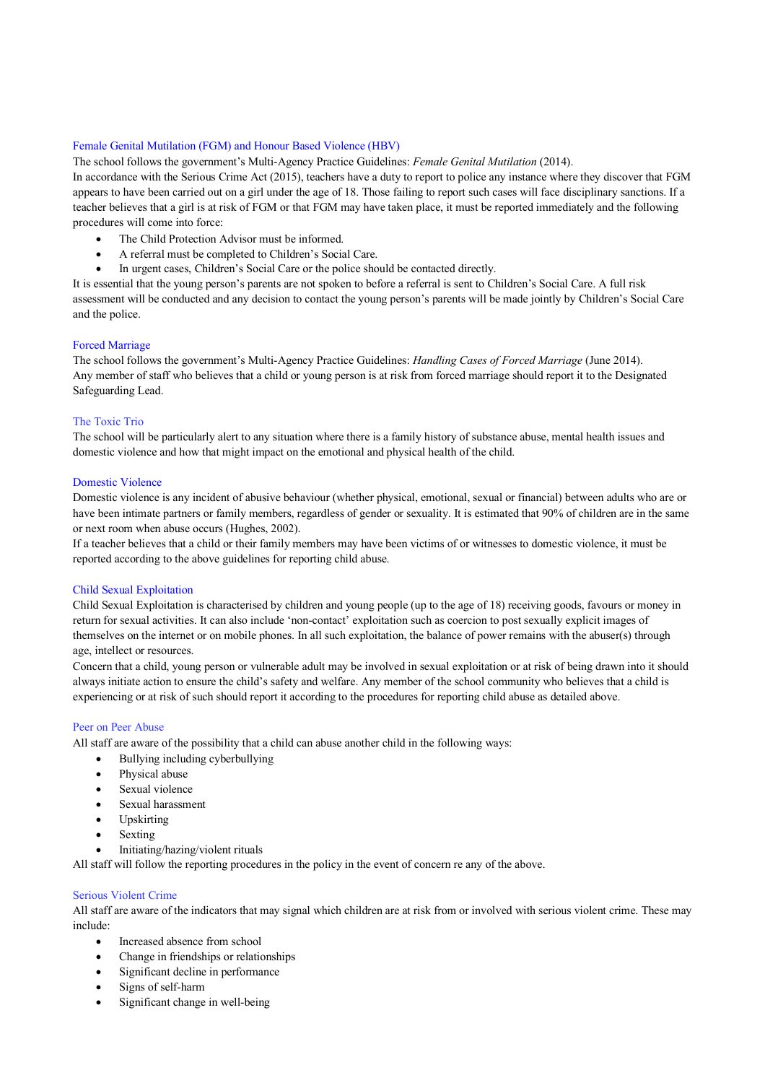#### Female Genital Mutilation (FGM) and Honour Based Violence (HBV)

The school follows the government's Multi-Agency Practice Guidelines: *Female Genital Mutilation* (2014).

In accordance with the Serious Crime Act (2015), teachers have a duty to report to police any instance where they discover that FGM appears to have been carried out on a girl under the age of 18. Those failing to report such cases will face disciplinary sanctions. If a teacher believes that a girl is at risk of FGM or that FGM may have taken place, it must be reported immediately and the following procedures will come into force:

- The Child Protection Advisor must be informed.
- A referral must be completed to Children's Social Care.
- In urgent cases, Children's Social Care or the police should be contacted directly.

It is essential that the young person's parents are not spoken to before a referral is sent to Children's Social Care. A full risk assessment will be conducted and any decision to contact the young person's parents will be made jointly by Children's Social Care and the police.

#### Forced Marriage

The school follows the government's Multi-Agency Practice Guidelines: *Handling Cases of Forced Marriage* (June 2014). Any member of staff who believes that a child or young person is at risk from forced marriage should report it to the Designated Safeguarding Lead.

#### The Toxic Trio

The school will be particularly alert to any situation where there is a family history of substance abuse, mental health issues and domestic violence and how that might impact on the emotional and physical health of the child.

# Domestic Violence

Domestic violence is any incident of abusive behaviour (whether physical, emotional, sexual or financial) between adults who are or have been intimate partners or family members, regardless of gender or sexuality. It is estimated that 90% of children are in the same or next room when abuse occurs (Hughes, 2002).

If a teacher believes that a child or their family members may have been victims of or witnesses to domestic violence, it must be reported according to the above guidelines for reporting child abuse.

#### Child Sexual Exploitation

Child Sexual Exploitation is characterised by children and young people (up to the age of 18) receiving goods, favours or money in return for sexual activities. It can also include 'non-contact' exploitation such as coercion to post sexually explicit images of themselves on the internet or on mobile phones. In all such exploitation, the balance of power remains with the abuser(s) through age, intellect or resources.

Concern that a child, young person or vulnerable adult may be involved in sexual exploitation or at risk of being drawn into it should always initiate action to ensure the child's safety and welfare. Any member of the school community who believes that a child is experiencing or at risk of such should report it according to the procedures for reporting child abuse as detailed above.

# Peer on Peer Abuse

All staff are aware of the possibility that a child can abuse another child in the following ways:

- Bullying including cyberbullying
- Physical abuse
- Sexual violence
- Sexual harassment
- Upskirting
- Sexting
- Initiating/hazing/violent rituals

All staff will follow the reporting procedures in the policy in the event of concern re any of the above.

#### Serious Violent Crime

All staff are aware of the indicators that may signal which children are at risk from or involved with serious violent crime. These may include:

- Increased absence from school
- Change in friendships or relationships
- Significant decline in performance
- Signs of self-harm
- Significant change in well-being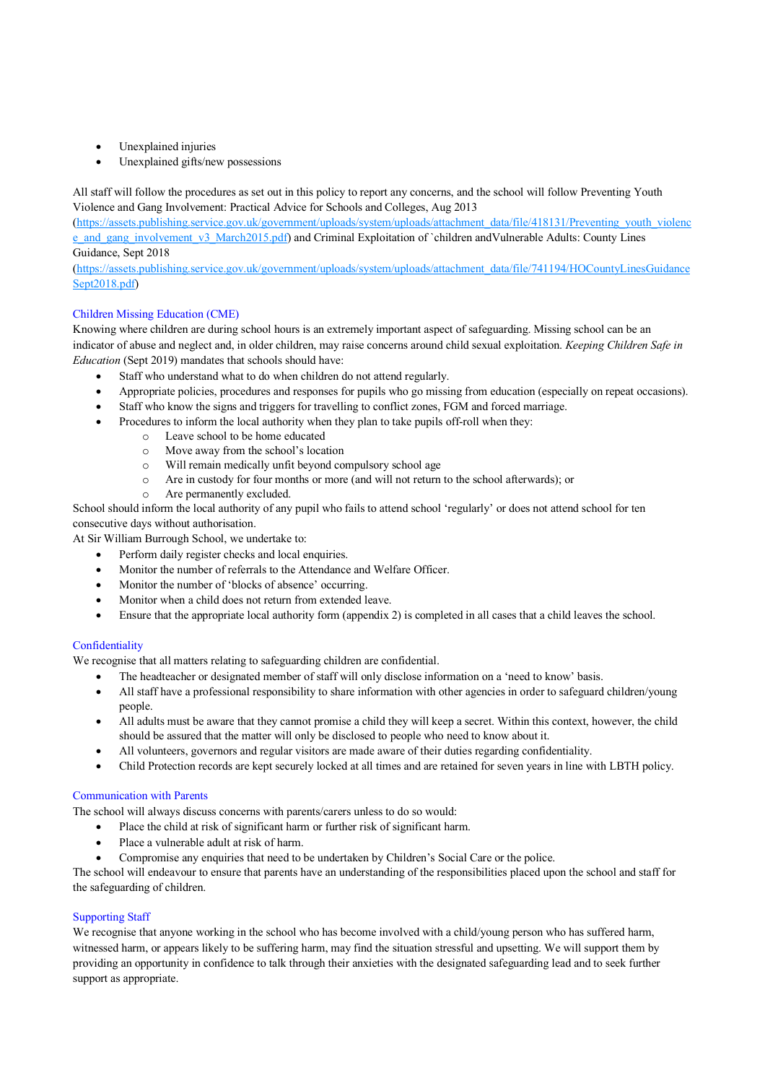- Unexplained injuries
- Unexplained gifts/new possessions

All staff will follow the procedures as set out in this policy to report any concerns, and the school will follow Preventing Youth Violence and Gang Involvement: Practical Advice for Schools and Colleges, Aug 2013

(https://assets.publishing.service.gov.uk/government/uploads/system/uploads/attachment\_data/file/418131/Preventing\_youth\_violenc e\_and\_gang\_involvement\_v3\_March2015.pdf) and Criminal Exploitation of `children andVulnerable Adults: County Lines Guidance, Sept 2018

(https://assets.publishing.service.gov.uk/government/uploads/system/uploads/attachment\_data/file/741194/HOCountyLinesGuidance Sept2018.pdf)

# Children Missing Education (CME)

Knowing where children are during school hours is an extremely important aspect of safeguarding. Missing school can be an indicator of abuse and neglect and, in older children, may raise concerns around child sexual exploitation. *Keeping Children Safe in Education* (Sept 2019) mandates that schools should have:

- Staff who understand what to do when children do not attend regularly.
- Appropriate policies, procedures and responses for pupils who go missing from education (especially on repeat occasions).
- Staff who know the signs and triggers for travelling to conflict zones, FGM and forced marriage.
- Procedures to inform the local authority when they plan to take pupils off-roll when they:
	- o Leave school to be home educated
	- o Move away from the school's location
	- o Will remain medically unfit beyond compulsory school age
	- o Are in custody for four months or more (and will not return to the school afterwards); or
	- o Are permanently excluded.

School should inform the local authority of any pupil who fails to attend school 'regularly' or does not attend school for ten consecutive days without authorisation.

At Sir William Burrough School, we undertake to:

- Perform daily register checks and local enquiries.
- Monitor the number of referrals to the Attendance and Welfare Officer.
- Monitor the number of 'blocks of absence' occurring.
- Monitor when a child does not return from extended leave.
- Ensure that the appropriate local authority form (appendix 2) is completed in all cases that a child leaves the school.

# **Confidentiality**

We recognise that all matters relating to safeguarding children are confidential.

- The headteacher or designated member of staff will only disclose information on a 'need to know' basis.
- All staff have a professional responsibility to share information with other agencies in order to safeguard children/young people.
- All adults must be aware that they cannot promise a child they will keep a secret. Within this context, however, the child should be assured that the matter will only be disclosed to people who need to know about it.
- All volunteers, governors and regular visitors are made aware of their duties regarding confidentiality.
- Child Protection records are kept securely locked at all times and are retained for seven years in line with LBTH policy.

# Communication with Parents

The school will always discuss concerns with parents/carers unless to do so would:

- Place the child at risk of significant harm or further risk of significant harm.
- Place a vulnerable adult at risk of harm.
- Compromise any enquiries that need to be undertaken by Children's Social Care or the police.

The school will endeavour to ensure that parents have an understanding of the responsibilities placed upon the school and staff for the safeguarding of children.

# Supporting Staff

We recognise that anyone working in the school who has become involved with a child/young person who has suffered harm, witnessed harm, or appears likely to be suffering harm, may find the situation stressful and upsetting. We will support them by providing an opportunity in confidence to talk through their anxieties with the designated safeguarding lead and to seek further support as appropriate.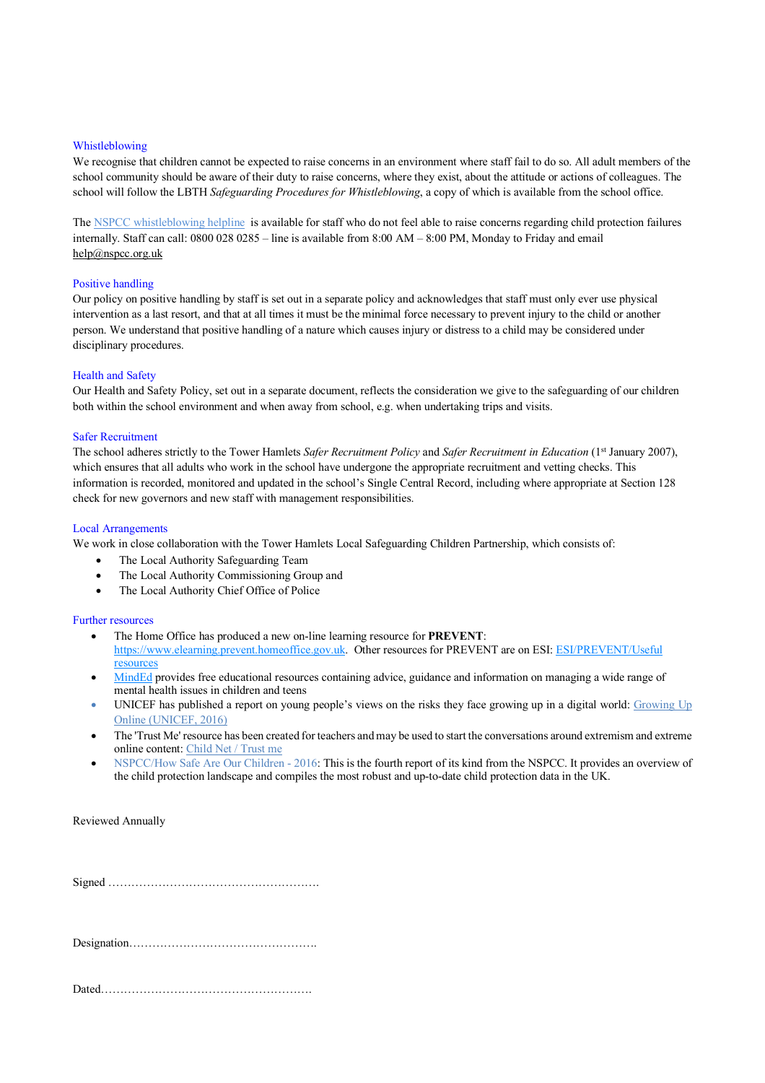#### Whistleblowing

We recognise that children cannot be expected to raise concerns in an environment where staff fail to do so. All adult members of the school community should be aware of their duty to raise concerns, where they exist, about the attitude or actions of colleagues. The school will follow the LBTH *Safeguarding Procedures for Whistleblowing*, a copy of which is available from the school office.

The NSPCC whistleblowing helpline is available for staff who do not feel able to raise concerns regarding child protection failures internally. Staff can call: 0800 028 0285 – line is available from 8:00 AM – 8:00 PM, Monday to Friday and email help@nspcc.org.uk

#### Positive handling

Our policy on positive handling by staff is set out in a separate policy and acknowledges that staff must only ever use physical intervention as a last resort, and that at all times it must be the minimal force necessary to prevent injury to the child or another person. We understand that positive handling of a nature which causes injury or distress to a child may be considered under disciplinary procedures.

#### Health and Safety

Our Health and Safety Policy, set out in a separate document, reflects the consideration we give to the safeguarding of our children both within the school environment and when away from school, e.g. when undertaking trips and visits.

#### Safer Recruitment

The school adheres strictly to the Tower Hamlets *Safer Recruitment Policy* and *Safer Recruitment in Education* (1st January 2007), which ensures that all adults who work in the school have undergone the appropriate recruitment and vetting checks. This information is recorded, monitored and updated in the school's Single Central Record, including where appropriate at Section 128 check for new governors and new staff with management responsibilities.

#### Local Arrangements

We work in close collaboration with the Tower Hamlets Local Safeguarding Children Partnership, which consists of:

- The Local Authority Safeguarding Team
- The Local Authority Commissioning Group and
- The Local Authority Chief Office of Police

#### Further resources

- The Home Office has produced a new on-line learning resource for **PREVENT**: https://www.elearning.prevent.homeoffice.gov.uk. Other resources for PREVENT are on ESI: ESI/PREVENT/Useful resources
- MindEd provides free educational resources containing advice, guidance and information on managing a wide range of mental health issues in children and teens
- UNICEF has published a report on young people's views on the risks they face growing up in a digital world: Growing Up Online (UNICEF, 2016)
- The 'Trust Me' resource has been created for teachers and may be used to start the conversations around extremism and extreme online content: Child Net / Trust me
- NSPCC/How Safe Are Our Children 2016: This is the fourth report of its kind from the NSPCC. It provides an overview of the child protection landscape and compiles the most robust and up-to-date child protection data in the UK.

Reviewed Annually

Signed ……………………………………………….

Designation………………………………………….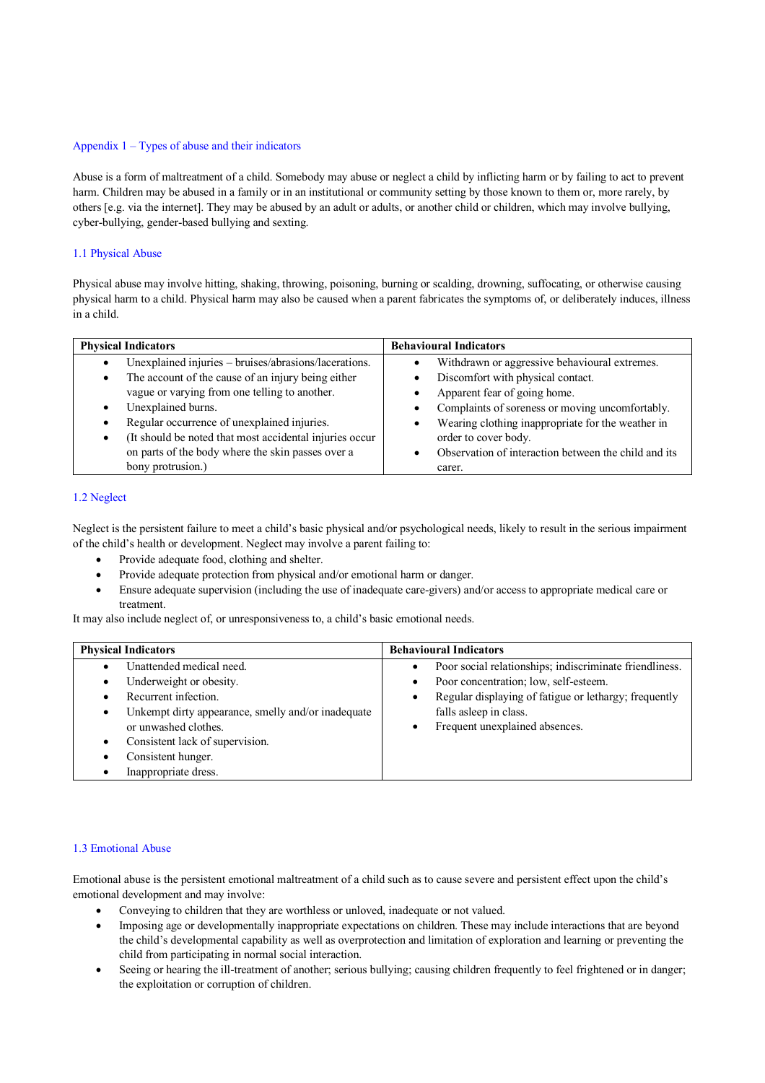# Appendix 1 – Types of abuse and their indicators

Abuse is a form of maltreatment of a child. Somebody may abuse or neglect a child by inflicting harm or by failing to act to prevent harm. Children may be abused in a family or in an institutional or community setting by those known to them or, more rarely, by others [e.g. via the internet]. They may be abused by an adult or adults, or another child or children, which may involve bullying, cyber-bullying, gender-based bullying and sexting.

#### 1.1 Physical Abuse

Physical abuse may involve hitting, shaking, throwing, poisoning, burning or scalding, drowning, suffocating, or otherwise causing physical harm to a child. Physical harm may also be caused when a parent fabricates the symptoms of, or deliberately induces, illness in a child.

| <b>Behavioural Indicators</b><br><b>Physical Indicators</b> |                                                            |
|-------------------------------------------------------------|------------------------------------------------------------|
| Unexplained injuries – bruises/abrasions/lacerations.       | Withdrawn or aggressive behavioural extremes.<br>$\bullet$ |
| The account of the cause of an injury being either          | Discomfort with physical contact.                          |
| vague or varying from one telling to another.               | Apparent fear of going home.                               |
| Unexplained burns.                                          | Complaints of soreness or moving uncomfortably.            |
| Regular occurrence of unexplained injuries.                 | Wearing clothing inappropriate for the weather in<br>٠     |
| (It should be noted that most accidental injuries occur     | order to cover body.                                       |
| on parts of the body where the skin passes over a           | Observation of interaction between the child and its       |
| bony protrusion.)                                           | carer.                                                     |

# 1.2 Neglect

Neglect is the persistent failure to meet a child's basic physical and/or psychological needs, likely to result in the serious impairment of the child's health or development. Neglect may involve a parent failing to:

- Provide adequate food, clothing and shelter.
- Provide adequate protection from physical and/or emotional harm or danger.
- Ensure adequate supervision (including the use of inadequate care-givers) and/or access to appropriate medical care or treatment.

It may also include neglect of, or unresponsiveness to, a child's basic emotional needs.

| <b>Physical Indicators</b><br><b>Behavioural Indicators</b> |                                                                      |
|-------------------------------------------------------------|----------------------------------------------------------------------|
| Unattended medical need.                                    | Poor social relationships; indiscriminate friendliness.<br>$\bullet$ |
| Underweight or obesity.                                     | Poor concentration; low, self-esteem.<br>$\bullet$                   |
| Recurrent infection.                                        | Regular displaying of fatigue or lethargy; frequently<br>$\bullet$   |
| Unkempt dirty appearance, smelly and/or inadequate<br>٠     | falls asleep in class.                                               |
| or unwashed clothes.                                        | Frequent unexplained absences.                                       |
| Consistent lack of supervision.                             |                                                                      |
| Consistent hunger.                                          |                                                                      |
| Inappropriate dress.                                        |                                                                      |

#### 1.3 Emotional Abuse

Emotional abuse is the persistent emotional maltreatment of a child such as to cause severe and persistent effect upon the child's emotional development and may involve:

- Conveying to children that they are worthless or unloved, inadequate or not valued.
- Imposing age or developmentally inappropriate expectations on children. These may include interactions that are beyond the child's developmental capability as well as overprotection and limitation of exploration and learning or preventing the child from participating in normal social interaction.
- Seeing or hearing the ill-treatment of another; serious bullying; causing children frequently to feel frightened or in danger; the exploitation or corruption of children.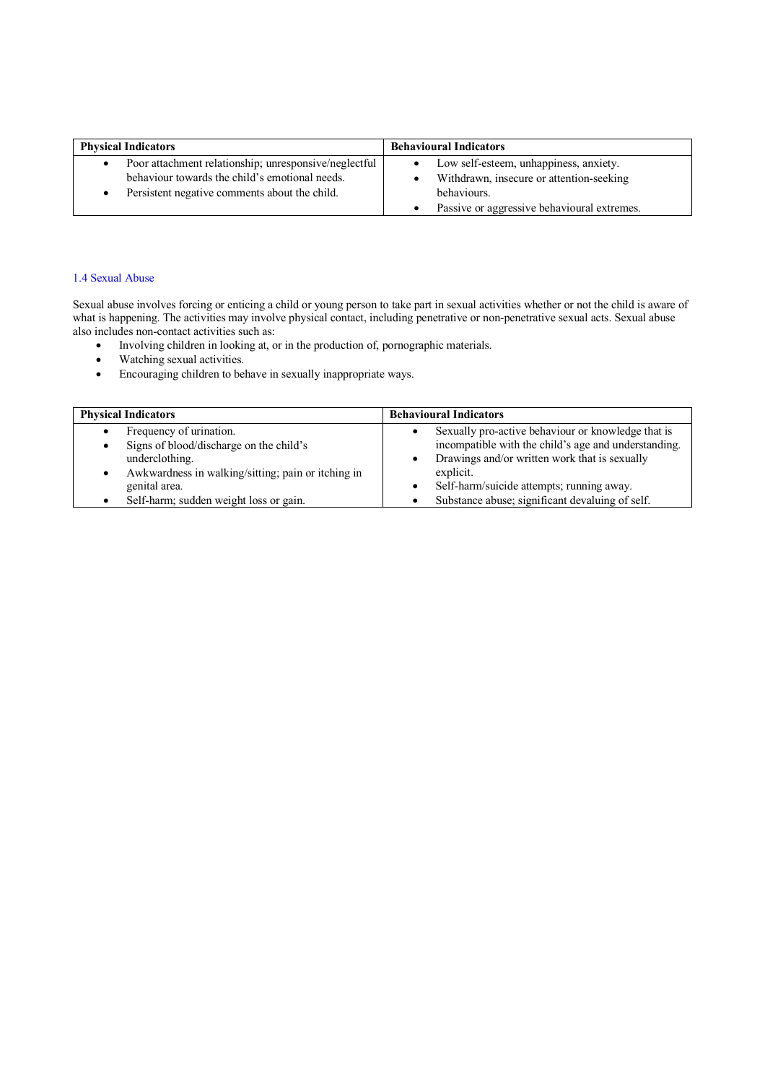| <b>Physical Indicators</b>                            | <b>Behavioural Indicators</b>               |  |
|-------------------------------------------------------|---------------------------------------------|--|
| Poor attachment relationship; unresponsive/neglectful | Low self-esteem, unhappiness, anxiety.      |  |
| behaviour towards the child's emotional needs.        | Withdrawn, insecure or attention-seeking    |  |
| Persistent negative comments about the child.         | behaviours.                                 |  |
|                                                       | Passive or aggressive behavioural extremes. |  |

#### 1.4 Sexual Abuse

Sexual abuse involves forcing or enticing a child or young person to take part in sexual activities whether or not the child is aware of what is happening. The activities may involve physical contact, including penetrative or non-penetrative sexual acts. Sexual abuse also includes non-contact activities such as:

- Involving children in looking at, or in the production of, pornographic materials.
- Watching sexual activities.
- Encouraging children to behave in sexually inappropriate ways.

| <b>Physical Indicators</b>                         | <b>Behavioural Indicators</b>                        |  |
|----------------------------------------------------|------------------------------------------------------|--|
| Frequency of urination.                            | Sexually pro-active behaviour or knowledge that is   |  |
| Signs of blood/discharge on the child's            | incompatible with the child's age and understanding. |  |
| underclothing.                                     | Drawings and/or written work that is sexually        |  |
| Awkwardness in walking/sitting; pain or itching in | explicit.                                            |  |
| genital area.                                      | Self-harm/suicide attempts; running away.            |  |
| Self-harm; sudden weight loss or gain.             | Substance abuse; significant devaluing of self.      |  |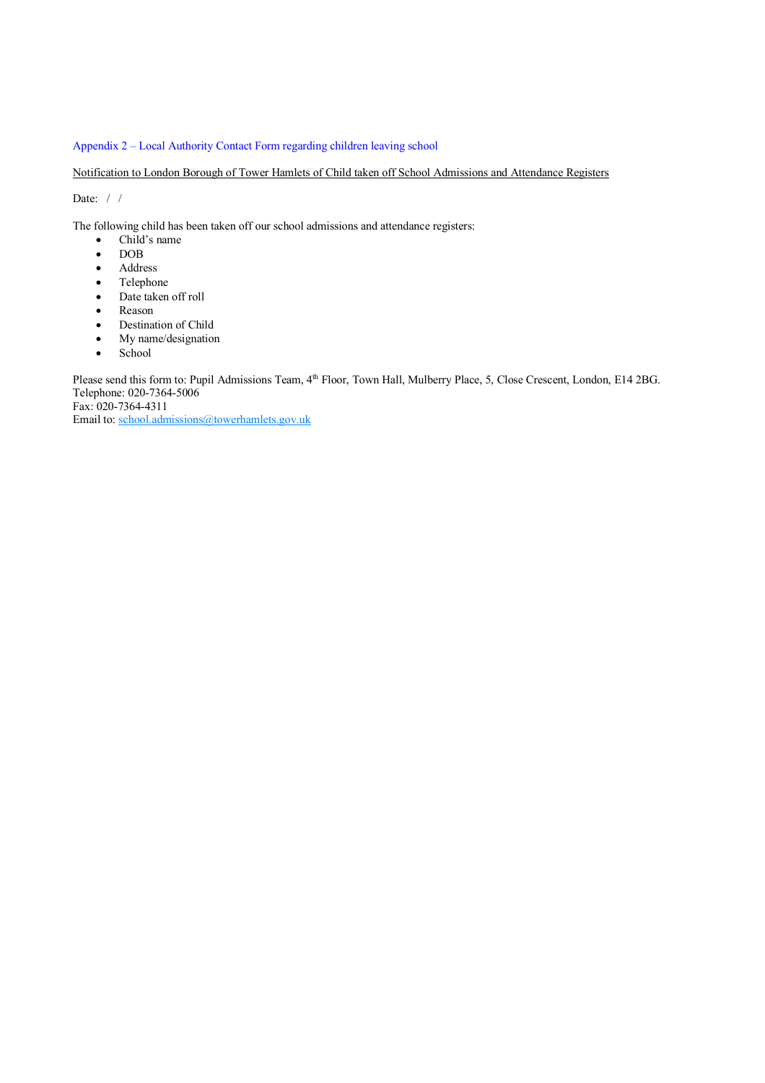### Appendix 2 – Local Authority Contact Form regarding children leaving school

Notification to London Borough of Tower Hamlets of Child taken off School Admissions and Attendance Registers

Date:  $/ /$ 

The following child has been taken off our school admissions and attendance registers:

- Child's name
- DOB
- Address
- Telephone
- Date taken off roll
- Reason
- Destination of Child
- My name/designation
- School

Please send this form to: Pupil Admissions Team, 4<sup>th</sup> Floor, Town Hall, Mulberry Place, 5, Close Crescent, London, E14 2BG. Telephone: 020-7364-5006

Fax: 020-7364-4311

Email to: school.admissions@towerhamlets.gov.uk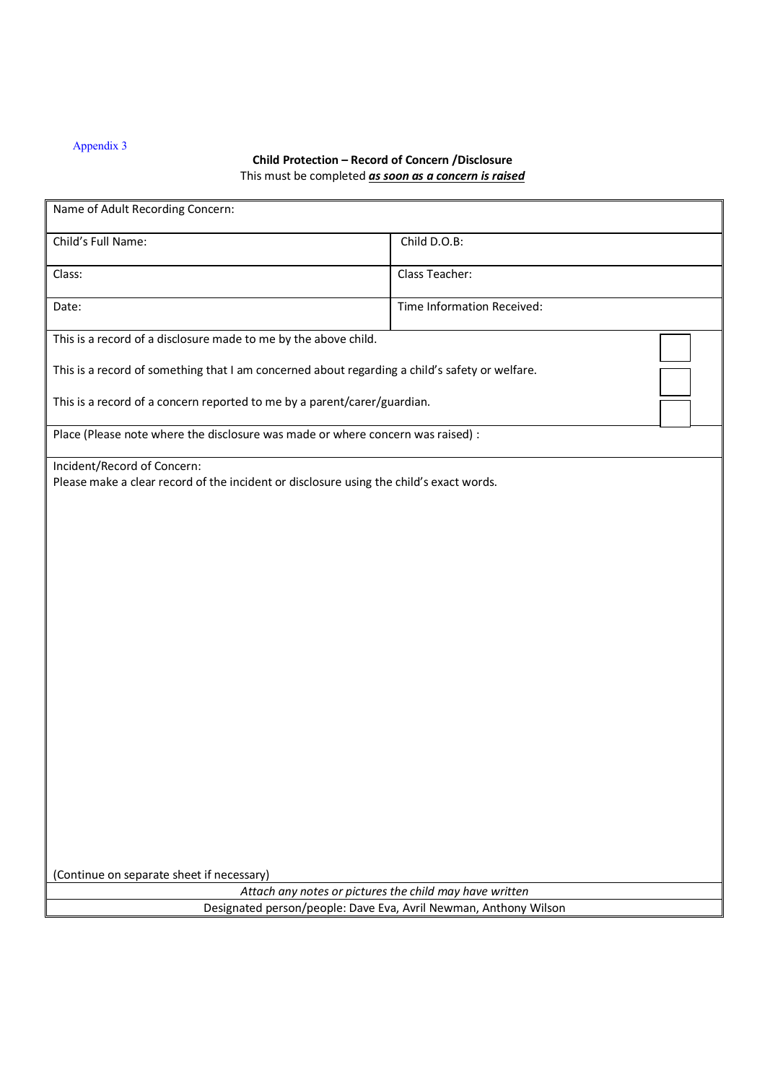# Appendix 3

# **Child Protection – Record of Concern /Disclosure** This must be completed *as soon as a concern is raised*

| Name of Adult Recording Concern:                                                                                       |                            |  |
|------------------------------------------------------------------------------------------------------------------------|----------------------------|--|
| Child's Full Name:                                                                                                     | Child D.O.B:               |  |
| Class:                                                                                                                 | Class Teacher:             |  |
| Date:                                                                                                                  | Time Information Received: |  |
| This is a record of a disclosure made to me by the above child.                                                        |                            |  |
| This is a record of something that I am concerned about regarding a child's safety or welfare.                         |                            |  |
| This is a record of a concern reported to me by a parent/carer/guardian.                                               |                            |  |
| Place (Please note where the disclosure was made or where concern was raised) :                                        |                            |  |
| Incident/Record of Concern:<br>Please make a clear record of the incident or disclosure using the child's exact words. |                            |  |
|                                                                                                                        |                            |  |
|                                                                                                                        |                            |  |
|                                                                                                                        |                            |  |
|                                                                                                                        |                            |  |
|                                                                                                                        |                            |  |
|                                                                                                                        |                            |  |
|                                                                                                                        |                            |  |
|                                                                                                                        |                            |  |
|                                                                                                                        |                            |  |
|                                                                                                                        |                            |  |
|                                                                                                                        |                            |  |
| (Continue on separate sheet if necessary)                                                                              |                            |  |
| Attach any notes or pictures the child may have written                                                                |                            |  |
| Designated person/people: Dave Eva, Avril Newman, Anthony Wilson                                                       |                            |  |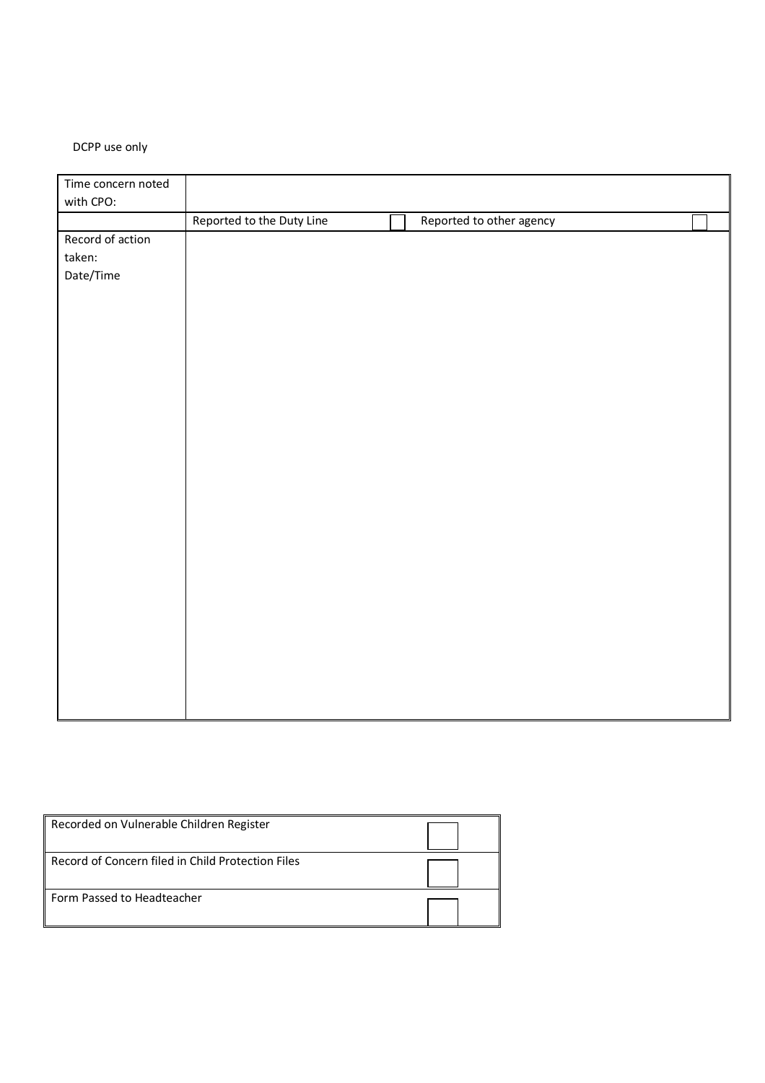# DCPP use only

| Time concern noted |                           |                          |  |
|--------------------|---------------------------|--------------------------|--|
| with CPO:          |                           |                          |  |
|                    | Reported to the Duty Line | Reported to other agency |  |
| Record of action   |                           |                          |  |
| taken:             |                           |                          |  |
| Date/Time          |                           |                          |  |
|                    |                           |                          |  |
|                    |                           |                          |  |
|                    |                           |                          |  |
|                    |                           |                          |  |
|                    |                           |                          |  |
|                    |                           |                          |  |
|                    |                           |                          |  |
|                    |                           |                          |  |
|                    |                           |                          |  |
|                    |                           |                          |  |
|                    |                           |                          |  |
|                    |                           |                          |  |
|                    |                           |                          |  |
|                    |                           |                          |  |
|                    |                           |                          |  |
|                    |                           |                          |  |
|                    |                           |                          |  |
|                    |                           |                          |  |
|                    |                           |                          |  |
|                    |                           |                          |  |
|                    |                           |                          |  |
|                    |                           |                          |  |
|                    |                           |                          |  |
|                    |                           |                          |  |

| Recorded on Vulnerable Children Register          |  |
|---------------------------------------------------|--|
| Record of Concern filed in Child Protection Files |  |
| Form Passed to Headteacher                        |  |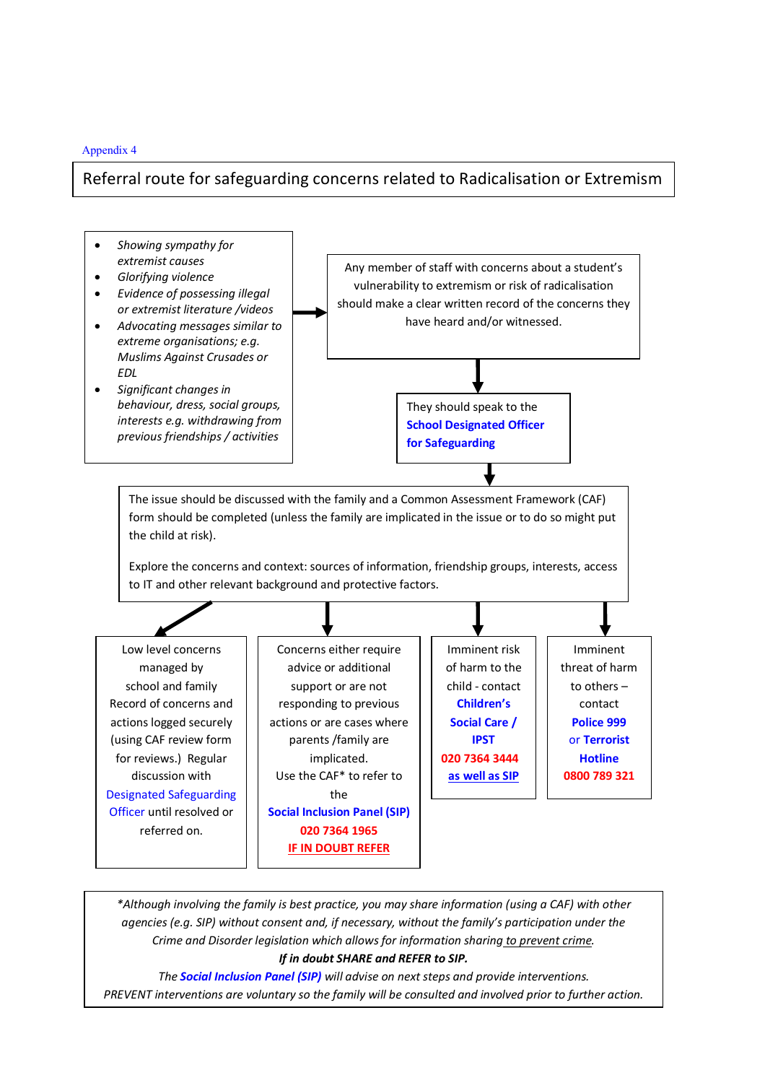### Appendix 4

# Referral route for safeguarding concerns related to Radicalisation or Extremism



*\*Although involving the family is best practice, you may share information (using a CAF) with other agencies (e.g. SIP) without consent and, if necessary, without the family's participation under the Crime and Disorder legislation which allows for information sharing to prevent crime. If in doubt SHARE and REFER to SIP.* 

*The Social Inclusion Panel (SIP) will advise on next steps and provide interventions. PREVENT interventions are voluntary so the family will be consulted and involved prior to further action.*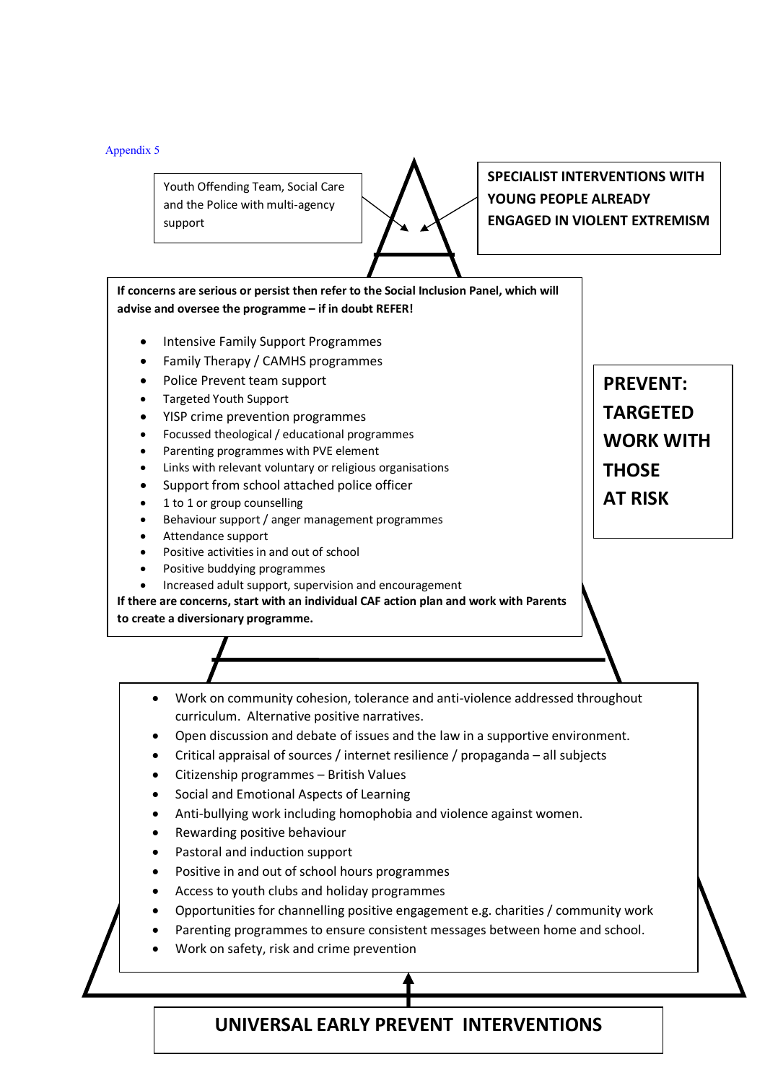Appendix 5

Youth Offending Team, Social Care and the Police with multi-agency support

**SPECIALIST INTERVENTIONS WITH YOUNG PEOPLE ALREADY ENGAGED IN VIOLENT EXTREMISM**

**If concerns are serious or persist then refer to the Social Inclusion Panel, which will advise and oversee the programme – if in doubt REFER!** 

- Intensive Family Support Programmes
- Family Therapy / CAMHS programmes
- Police Prevent team support
- Targeted Youth Support
- YISP crime prevention programmes
- Focussed theological / educational programmes
- Parenting programmes with PVE element
- Links with relevant voluntary or religious organisations
- Support from school attached police officer
- 1 to 1 or group counselling
- Behaviour support / anger management programmes
- Attendance support
- Positive activities in and out of school
- Positive buddying programmes
- Increased adult support, supervision and encouragement

**If there are concerns, start with an individual CAF action plan and work with Parents** 

**to create a diversionary programme.** 

- Work on community cohesion, tolerance and anti-violence addressed throughout curriculum. Alternative positive narratives.
- Open discussion and debate of issues and the law in a supportive environment.
- Critical appraisal of sources / internet resilience / propaganda all subjects
- Citizenship programmes British Values
- Social and Emotional Aspects of Learning
- Anti-bullying work including homophobia and violence against women.
- Rewarding positive behaviour
- Pastoral and induction support
- Positive in and out of school hours programmes
- Access to youth clubs and holiday programmes
- Opportunities for channelling positive engagement e.g. charities / community work
- Parenting programmes to ensure consistent messages between home and school.
- Work on safety, risk and crime prevention

# **UNIVERSAL EARLY PREVENT INTERVENTIONS**

**PREVENT: TARGETED WORK WITH THOSE AT RISK**